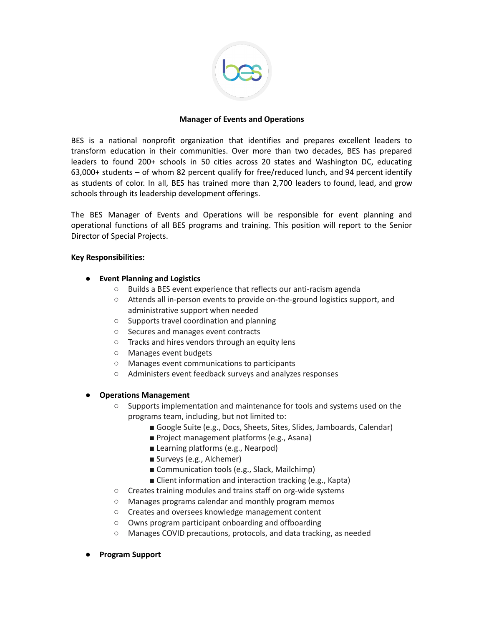

### **Manager of Events and Operations**

BES is a national nonprofit organization that identifies and prepares excellent leaders to transform education in their communities. Over more than two decades, BES has prepared leaders to found 200+ schools in 50 cities across 20 states and Washington DC, educating  $63,000+$  students – of whom 82 percent qualify for free/reduced lunch, and 94 percent identify as students of color. In all, BES has trained more than 2,700 leaders to found, lead, and grow schools through its leadership development offerings.

The BES Manager of Events and Operations will be responsible for event planning and operational functions of all BES programs and training. This position will report to the Senior Director of Special Projects.

#### **Key Responsibilities:**

- **Event Planning and Logistics**
	- Builds a BES event experience that reflects our anti-racism agenda
	- Attends all in-person events to provide on-the-ground logistics support, and administrative support when needed
	- Supports travel coordination and planning
	- Secures and manages event contracts
	- Tracks and hires vendors through an equity lens
	- Manages event budgets
	- Manages event communications to participants
	- Administers event feedback surveys and analyzes responses

### ● **Operations Management**

- Supports implementation and maintenance for tools and systems used on the programs team, including, but not limited to:
	- Google Suite (e.g., Docs, Sheets, Sites, Slides, Jamboards, Calendar)
	- Project management platforms (e.g., Asana)
	- Learning platforms (e.g., Nearpod)
	- Surveys (e.g., Alchemer)
	- Communication tools (e.g., Slack, Mailchimp)
	- Client information and interaction tracking (e.g., Kapta)
- Creates training modules and trains staff on org-wide systems
- Manages programs calendar and monthly program memos
- Creates and oversees knowledge management content
- Owns program participant onboarding and offboarding
- Manages COVID precautions, protocols, and data tracking, as needed
- **Program Support**